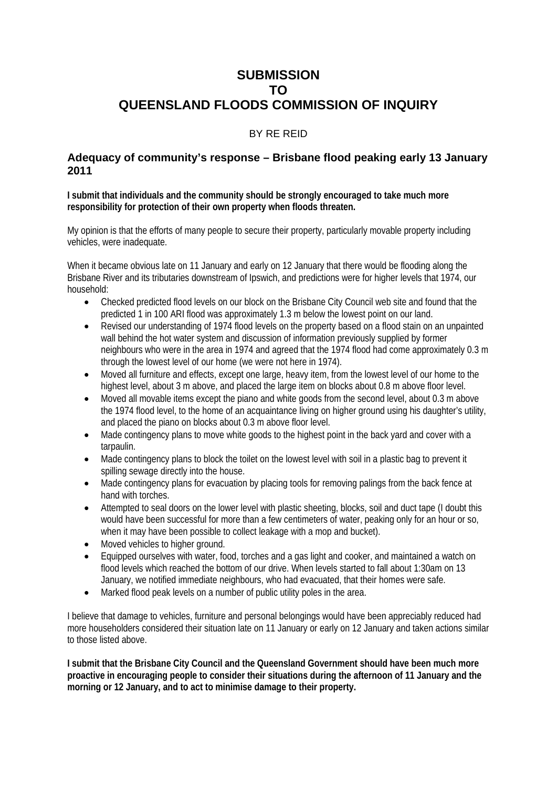## **SUBMISSION TO QUEENSLAND FLOODS COMMISSION OF INQUIRY**

## BY RE REID

## **Adequacy of community's response – Brisbane flood peaking early 13 January 2011**

**I submit that individuals and the community should be strongly encouraged to take much more responsibility for protection of their own property when floods threaten.** 

My opinion is that the efforts of many people to secure their property, particularly movable property including vehicles, were inadequate.

When it became obvious late on 11 January and early on 12 January that there would be flooding along the Brisbane River and its tributaries downstream of Ipswich, and predictions were for higher levels that 1974, our household:

- Checked predicted flood levels on our block on the Brisbane City Council web site and found that the predicted 1 in 100 ARI flood was approximately 1.3 m below the lowest point on our land.
- Revised our understanding of 1974 flood levels on the property based on a flood stain on an unpainted wall behind the hot water system and discussion of information previously supplied by former neighbours who were in the area in 1974 and agreed that the 1974 flood had come approximately 0.3 m through the lowest level of our home (we were not here in 1974).
- Moved all furniture and effects, except one large, heavy item, from the lowest level of our home to the highest level, about 3 m above, and placed the large item on blocks about 0.8 m above floor level.
- Moved all movable items except the piano and white goods from the second level, about 0.3 m above the 1974 flood level, to the home of an acquaintance living on higher ground using his daughter's utility, and placed the piano on blocks about 0.3 m above floor level.
- Made contingency plans to move white goods to the highest point in the back yard and cover with a tarpaulin.
- Made contingency plans to block the toilet on the lowest level with soil in a plastic bag to prevent it spilling sewage directly into the house.
- Made contingency plans for evacuation by placing tools for removing palings from the back fence at hand with torches.
- Attempted to seal doors on the lower level with plastic sheeting, blocks, soil and duct tape (I doubt this would have been successful for more than a few centimeters of water, peaking only for an hour or so, when it may have been possible to collect leakage with a mop and bucket).
- Moved vehicles to higher ground.
- Equipped ourselves with water, food, torches and a gas light and cooker, and maintained a watch on flood levels which reached the bottom of our drive. When levels started to fall about 1:30am on 13 January, we notified immediate neighbours, who had evacuated, that their homes were safe.
- Marked flood peak levels on a number of public utility poles in the area.

I believe that damage to vehicles, furniture and personal belongings would have been appreciably reduced had more householders considered their situation late on 11 January or early on 12 January and taken actions similar to those listed above.

**I submit that the Brisbane City Council and the Queensland Government should have been much more proactive in encouraging people to consider their situations during the afternoon of 11 January and the morning or 12 January, and to act to minimise damage to their property.**